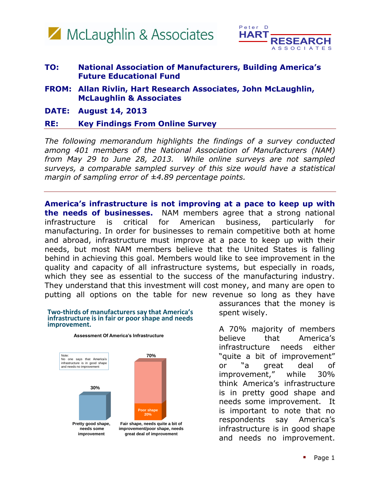



## **TO: National Association of Manufacturers, Building America's Future Educational Fund**

- **FROM: Allan Rivlin, Hart Research Associates, John McLaughlin, McLaughlin & Associates**
- **DATE: August 14, 2013**

## **RE: Key Findings From Online Survey**

*The following memorandum highlights the findings of a survey conducted among 401 members of the National Association of Manufacturers (NAM) from May 29 to June 28, 2013. While online surveys are not sampled surveys, a comparable sampled survey of this size would have a statistical margin of sampling error of ±4.89 percentage points.* 

**America's infrastructure is not improving at a pace to keep up with the needs of businesses.** NAM members agree that a strong national infrastructure is critical for American business, particularly for manufacturing. In order for businesses to remain competitive both at home and abroad, infrastructure must improve at a pace to keep up with their needs, but most NAM members believe that the United States is falling behind in achieving this goal. Members would like to see improvement in the quality and capacity of all infrastructure systems, but especially in roads, which they see as essential to the success of the manufacturing industry. They understand that this investment will cost money, and many are open to putting all options on the table for new revenue so long as they have

## **Two-thirds of manufacturers say that America's infrastructure is in fair or poor shape and needs improvement.**

**Assessment Of America's Infrastructure**



assurances that the money is spent wisely.

A 70% majority of members believe that America's infrastructure needs either "quite a bit of improvement" or "a great deal of improvement," while 30% think America's infrastructure is in pretty good shape and needs some improvement. It is important to note that no respondents say America's infrastructure is in good shape and needs no improvement.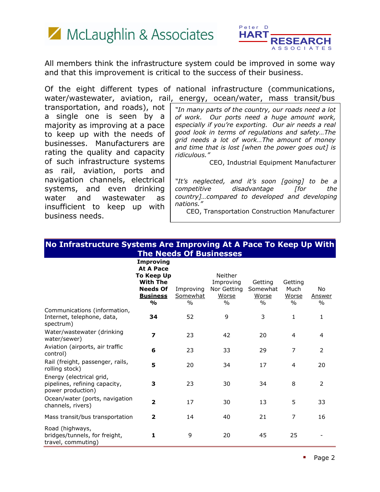



All members think the infrastructure system could be improved in some way and that this improvement is critical to the success of their business.

Of the eight different types of national infrastructure (communications, water/wastewater, aviation, rail, energy, ocean/water, mass transit/bus

transportation, and roads), not a single one is seen by a majority as improving at a pace to keep up with the needs of businesses. Manufacturers are rating the quality and capacity of such infrastructure systems as rail, aviation, ports and navigation channels, electrical systems, and even drinking water and wastewater as insufficient to keep up with business needs.

*"In many parts of the country, our roads need a lot of work. Our ports need a huge amount work, especially if you're exporting. Our air needs a real good look in terms of regulations and safety…The grid needs a lot of work…The amount of money and time that is lost [when the power goes out] is ridiculous."* 

CEO, Industrial Equipment Manufacturer

*"It's neglected, and it's soon [going] to be a competitive disadvantage [for the country]…compared to developed and developing nations."* 

CEO, Transportation Construction Manufacturer

| No Infrastructure Systems Are Improving At A Pace To Keep Up With              |                                                                       |                                        |                                              |                                           |                                       |                       |
|--------------------------------------------------------------------------------|-----------------------------------------------------------------------|----------------------------------------|----------------------------------------------|-------------------------------------------|---------------------------------------|-----------------------|
| <b>The Needs Of Businesses</b>                                                 |                                                                       |                                        |                                              |                                           |                                       |                       |
|                                                                                | Improving<br><b>At A Pace</b><br><b>To Keep Up</b><br><b>With The</b> |                                        | Neither<br>Improving                         | Getting                                   | Getting                               |                       |
|                                                                                | <b>Needs Of</b><br><b>Business</b><br>$\frac{0}{0}$                   | Improving<br>Somewhat<br>$\frac{0}{0}$ | Nor Getting<br><u>Worse</u><br>$\frac{0}{0}$ | Somewhat<br><u>Worse</u><br>$\frac{0}{0}$ | Much<br><u>Worse</u><br>$\frac{0}{0}$ | No.<br>Answer<br>$\%$ |
| Communications (information,<br>Internet, telephone, data,<br>spectrum)        | 34                                                                    | 52                                     | 9                                            | 3                                         | $\mathbf{1}$                          | 1                     |
| Water/wastewater (drinking<br>water/sewer)                                     | $\overline{\mathbf{z}}$                                               | 23                                     | 42                                           | 20                                        | 4                                     | 4                     |
| Aviation (airports, air traffic<br>control)                                    | 6                                                                     | 23                                     | 33                                           | 29                                        | $\overline{7}$                        | 2                     |
| Rail (freight, passenger, rails,<br>rolling stock)                             | 5                                                                     | 20                                     | 34                                           | 17                                        | 4                                     | 20                    |
| Energy (electrical grid,<br>pipelines, refining capacity,<br>power production) | 3                                                                     | 23                                     | 30                                           | 34                                        | 8                                     | $\overline{2}$        |
| Ocean/water (ports, navigation<br>channels, rivers)                            | $\overline{\mathbf{z}}$                                               | 17                                     | 30                                           | 13                                        | 5                                     | 33                    |
| Mass transit/bus transportation                                                | $\overline{\mathbf{2}}$                                               | 14                                     | 40                                           | 21                                        | 7                                     | 16                    |
| Road (highways,<br>bridges/tunnels, for freight,<br>travel, commuting)         | 1                                                                     | 9                                      | 20                                           | 45                                        | 25                                    |                       |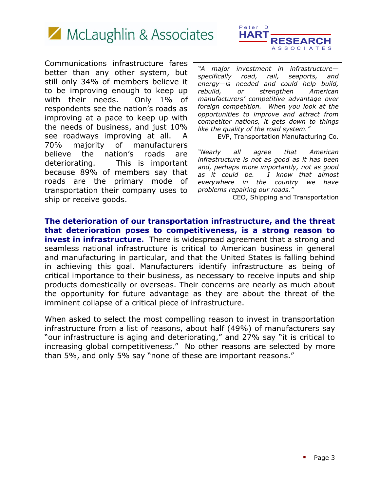

Communications infrastructure fares better than any other system, but still only 34% of members believe it to be improving enough to keep up with their needs. Only 1% of respondents see the nation's roads as improving at a pace to keep up with the needs of business, and just 10% see roadways improving at all. A 70% majority of manufacturers believe the nation's roads are deteriorating. This is important because 89% of members say that roads are the primary mode of transportation their company uses to ship or receive goods.



*"A major investment in infrastructure specifically road, rail, seaports, and energy—is needed and could help build, rebuild, or strengthen American manufacturers' competitive advantage over foreign competition. When you look at the opportunities to improve and attract from competitor nations, it gets down to things like the quality of the road system."* 

EVP, Transportation Manufacturing Co.

*"Nearly all agree that American infrastructure is not as good as it has been and, perhaps more importantly, not as good as it could be. I know that almost everywhere in the country we have problems repairing our roads."* 

CEO, Shipping and Transportation

**The deterioration of our transportation infrastructure, and the threat that deterioration poses to competitiveness, is a strong reason to invest in infrastructure.** There is widespread agreement that a strong and seamless national infrastructure is critical to American business in general and manufacturing in particular, and that the United States is falling behind in achieving this goal. Manufacturers identify infrastructure as being of critical importance to their business, as necessary to receive inputs and ship products domestically or overseas. Their concerns are nearly as much about the opportunity for future advantage as they are about the threat of the imminent collapse of a critical piece of infrastructure.

When asked to select the most compelling reason to invest in transportation infrastructure from a list of reasons, about half (49%) of manufacturers say "our infrastructure is aging and deteriorating," and 27% say "it is critical to increasing global competitiveness." No other reasons are selected by more than 5%, and only 5% say "none of these are important reasons."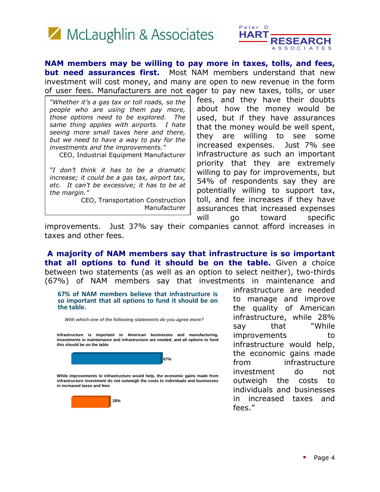



**NAM members may be willing to pay more in taxes, tolls, and fees, but need assurances first.** Most NAM members understand that new investment will cost money, and many are open to new revenue in the form of user fees. Manufacturers are not eager to pay new taxes, tolls, or user

*"Whether it's a gas tax or toll roads, so the people who are using them pay more, those options need to be explored. The same thing applies with airports. I hate seeing more small taxes here and there, but we need to have a way to pay for the investments and the improvements."* 

CEO, Industrial Equipment Manufacturer

*"I don't think it has to be a dramatic increase; it could be a gas tax, airport tax, etc. It can't be excessive; it has to be at the margin."*

CEO, Transportation Construction Manufacturer

fees, and they have their doubts about how the money would be used, but if they have assurances that the money would be well spent, they are willing to see some increased expenses. Just 7% see infrastructure as such an important priority that they are extremely willing to pay for improvements, but 54% of respondents say they are potentially willing to support tax, toll, and fee increases if they have assurances that increased expenses will go toward specific

improvements. Just 37% say their companies cannot afford increases in taxes and other fees.

**A majority of NAM members say that infrastructure is so important that all options to fund it should be on the table.** Given a choice between two statements (as well as an option to select neither), two-thirds (67%) of NAM members say that investments in maintenance and

**67% of NAM members believe that infrastructure is so important that all options to fund it should be on the table.**

*With which one of the following statements do you agree more?*

**Infrastructure is important to American businesses and manufacturing. Investments in maintenance and infrastructure are needed, and all options to fund this should be on the table**



**While improvements to infrastructure would help, the economic gains made from infrastructure investment do not outweigh the costs to individuals and businesses in increased taxes and fees**



infrastructure are needed to manage and improve the quality of American infrastructure, while 28% say that "While improvements to infrastructure would help, the economic gains made from infrastructure investment do not outweigh the costs to individuals and businesses in increased taxes and fees."